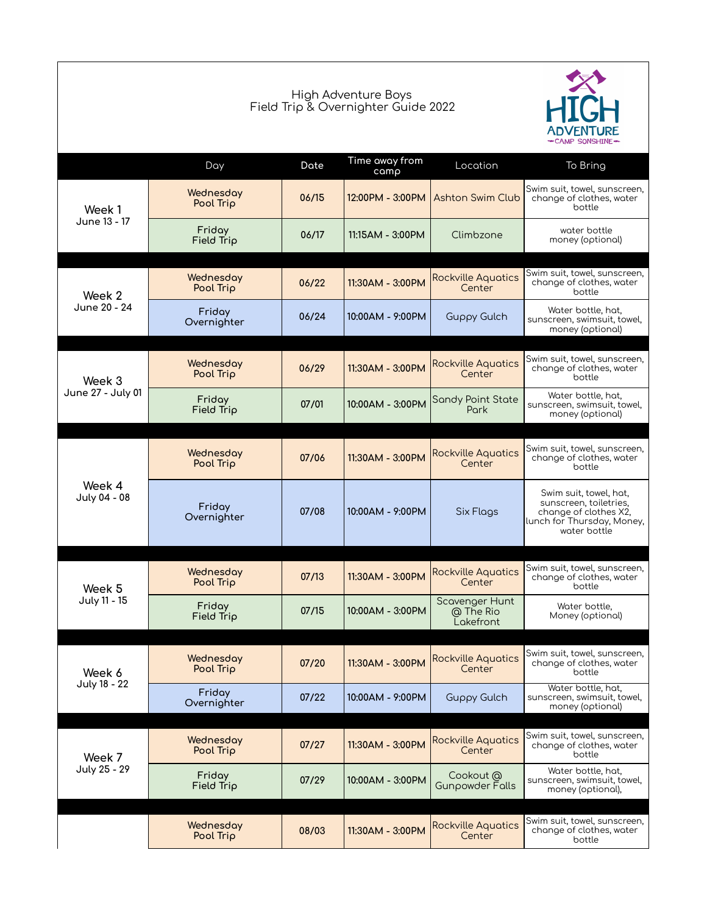